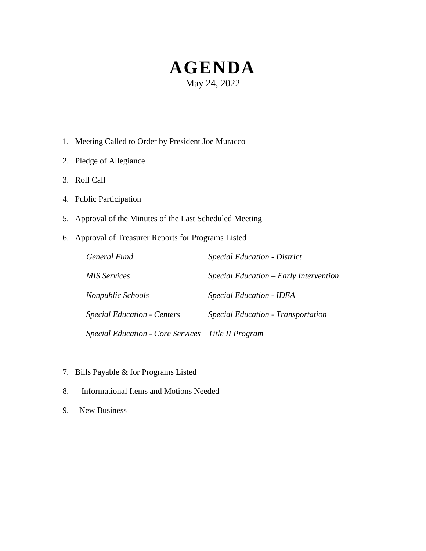# **AGENDA** May 24, 2022

- 1. Meeting Called to Order by President Joe Muracco
- 2. Pledge of Allegiance
- 3. Roll Call
- 4. Public Participation
- 5. Approval of the Minutes of the Last Scheduled Meeting
- 6. Approval of Treasurer Reports for Programs Listed

| General Fund                                       | <b>Special Education - District</b>    |
|----------------------------------------------------|----------------------------------------|
| MIS Services                                       | Special Education – Early Intervention |
| Nonpublic Schools                                  | <b>Special Education - IDEA</b>        |
| <b>Special Education - Centers</b>                 | Special Education - Transportation     |
| Special Education - Core Services Title II Program |                                        |

- 7. Bills Payable & for Programs Listed
- 8. Informational Items and Motions Needed
- 9. New Business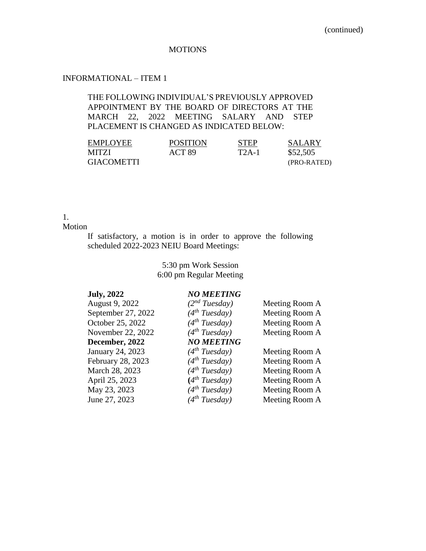#### **MOTIONS**

### INFORMATIONAL – ITEM 1

#### THE FOLLOWING INDIVIDUAL'S PREVIOUSLY APPROVED APPOINTMENT BY THE BOARD OF DIRECTORS AT THE MARCH 22, 2022 MEETING SALARY AND STEP PLACEMENT IS CHANGED AS INDICATED BELOW:

| <b>EMPLOYEE</b>   | <b>POSITION</b> | <b>STEP</b> | SALARY      |
|-------------------|-----------------|-------------|-------------|
| <b>MITZI</b>      | ACT 89          | $T2A-1$     | \$52,505    |
| <b>GIACOMETTI</b> |                 |             | (PRO-RATED) |

## 1.

Motion

If satisfactory, a motion is in order to approve the following scheduled 2022-2023 NEIU Board Meetings:

> 5:30 pm Work Session 6:00 pm Regular Meeting

#### **July, 2022** *NO MEETING*

| August 9, 2022     | $(2^{nd} Tuesday)$        | Meeting Room A |
|--------------------|---------------------------|----------------|
| September 27, 2022 | $(4^{th} Tuesday)$        | Meeting Room A |
| October 25, 2022   | $(4^{th} Tuesday)$        | Meeting Room A |
| November 22, 2022  | $(4^{th} Tuesday)$        | Meeting Room A |
| December, 2022     | <b>NO MEETING</b>         |                |
| January 24, 2023   | $(4^{th} Tuesday)$        | Meeting Room A |
| February 28, 2023  | $(4^{th} Tuesday)$        | Meeting Room A |
| March 28, 2023     | $(4^{th} Tuesday)$        | Meeting Room A |
| April 25, 2023     | (4 <sup>th</sup> Tuesday) | Meeting Room A |
| May 23, 2023       | $(4^{th} Tuesday)$        | Meeting Room A |
| June 27, 2023      | $(4^{th} Tuesday)$        | Meeting Room A |
|                    |                           |                |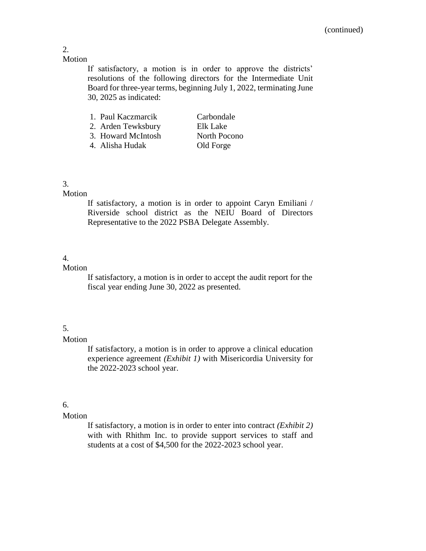#### Motion

If satisfactory, a motion is in order to approve the districts' resolutions of the following directors for the Intermediate Unit Board for three-year terms, beginning July 1, 2022, terminating June 30, 2025 as indicated:

| 1. Paul Kaczmarcik | Carbondale   |
|--------------------|--------------|
| 2. Arden Tewksbury | Elk Lake     |
| 3. Howard McIntosh | North Pocono |
| 4. Alisha Hudak    | Old Forge    |

## 3.

## Motion

If satisfactory, a motion is in order to appoint Caryn Emiliani / Riverside school district as the NEIU Board of Directors Representative to the 2022 PSBA Delegate Assembly.

#### 4.

## Motion

If satisfactory, a motion is in order to accept the audit report for the fiscal year ending June 30, 2022 as presented.

### 5.

#### Motion

If satisfactory, a motion is in order to approve a clinical education experience agreement *(Exhibit 1)* with Misericordia University for the 2022-2023 school year.

## 6.

#### Motion

If satisfactory, a motion is in order to enter into contract *(Exhibit 2)* with with Rhithm Inc. to provide support services to staff and students at a cost of \$4,500 for the 2022-2023 school year.

2.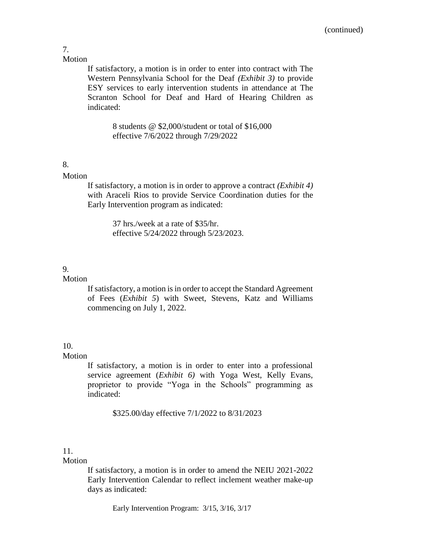7. **Motion** 

> If satisfactory, a motion is in order to enter into contract with The Western Pennsylvania School for the Deaf *(Exhibit 3)* to provide ESY services to early intervention students in attendance at The Scranton School for Deaf and Hard of Hearing Children as indicated:

> > 8 students @ \$2,000/student or total of \$16,000 effective 7/6/2022 through 7/29/2022

#### 8.

#### Motion

If satisfactory, a motion is in order to approve a contract *(Exhibit 4)* with Araceli Rios to provide Service Coordination duties for the Early Intervention program as indicated:

> 37 hrs./week at a rate of \$35/hr. effective 5/24/2022 through 5/23/2023.

#### 9.

#### Motion

If satisfactory, a motion is in order to accept the Standard Agreement of Fees (*Exhibit 5*) with Sweet, Stevens, Katz and Williams commencing on July 1, 2022.

## 10.

#### Motion

If satisfactory, a motion is in order to enter into a professional service agreement (*Exhibit 6)* with Yoga West, Kelly Evans, proprietor to provide "Yoga in the Schools" programming as indicated:

\$325.00/day effective 7/1/2022 to 8/31/2023

### 11.

### **Motion**

If satisfactory, a motion is in order to amend the NEIU 2021-2022 Early Intervention Calendar to reflect inclement weather make-up days as indicated:

Early Intervention Program: 3/15, 3/16, 3/17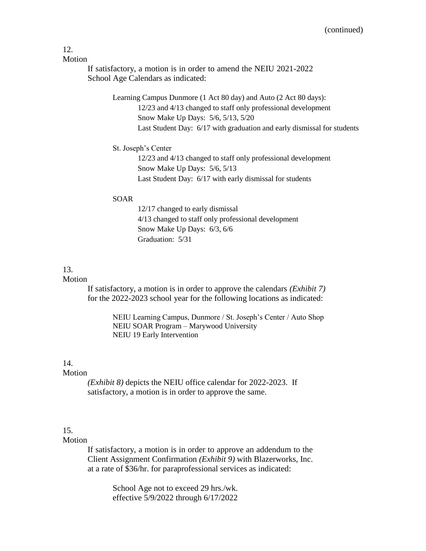## 12.

Motion

If satisfactory, a motion is in order to amend the NEIU 2021-2022 School Age Calendars as indicated:

> Learning Campus Dunmore (1 Act 80 day) and Auto (2 Act 80 days): 12/23 and 4/13 changed to staff only professional development Snow Make Up Days: 5/6, 5/13, 5/20 Last Student Day: 6/17 with graduation and early dismissal for students

#### St. Joseph's Center

12/23 and 4/13 changed to staff only professional development Snow Make Up Days: 5/6, 5/13 Last Student Day: 6/17 with early dismissal for students

#### SOAR

12/17 changed to early dismissal 4/13 changed to staff only professional development Snow Make Up Days: 6/3, 6/6 Graduation: 5/31

#### 13.

#### **Motion**

If satisfactory, a motion is in order to approve the calendars *(Exhibit 7)* for the 2022-2023 school year for the following locations as indicated:

> NEIU Learning Campus, Dunmore / St. Joseph's Center / Auto Shop NEIU SOAR Program – Marywood University NEIU 19 Early Intervention

#### 14.

#### Motion

*(Exhibit 8)* depicts the NEIU office calendar for 2022-2023. If satisfactory, a motion is in order to approve the same.

## 15.

#### Motion

If satisfactory, a motion is in order to approve an addendum to the Client Assignment Confirmation *(Exhibit 9)* with Blazerworks, Inc. at a rate of \$36/hr. for paraprofessional services as indicated:

> School Age not to exceed 29 hrs./wk. effective 5/9/2022 through 6/17/2022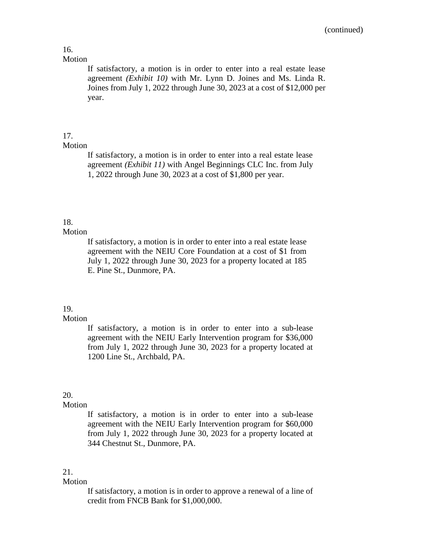#### 16. Motion

If satisfactory, a motion is in order to enter into a real estate lease agreement *(Exhibit 10)* with Mr. Lynn D. Joines and Ms. Linda R. Joines from July 1, 2022 through June 30, 2023 at a cost of \$12,000 per year.

## 17.

### Motion

If satisfactory, a motion is in order to enter into a real estate lease agreement *(Exhibit 11)* with Angel Beginnings CLC Inc. from July 1, 2022 through June 30, 2023 at a cost of \$1,800 per year.

## 18.

#### Motion

If satisfactory, a motion is in order to enter into a real estate lease agreement with the NEIU Core Foundation at a cost of \$1 from July 1, 2022 through June 30, 2023 for a property located at 185 E. Pine St., Dunmore, PA.

#### 19.

#### Motion

If satisfactory, a motion is in order to enter into a sub-lease agreement with the NEIU Early Intervention program for \$36,000 from July 1, 2022 through June 30, 2023 for a property located at 1200 Line St., Archbald, PA.

### 20.

#### Motion

If satisfactory, a motion is in order to enter into a sub-lease agreement with the NEIU Early Intervention program for \$60,000 from July 1, 2022 through June 30, 2023 for a property located at 344 Chestnut St., Dunmore, PA.

### 21.

#### Motion

If satisfactory, a motion is in order to approve a renewal of a line of credit from FNCB Bank for \$1,000,000.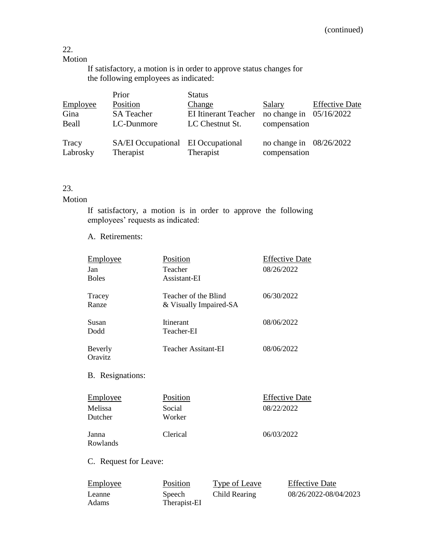## 22.

## Motion

If satisfactory, a motion is in order to approve status changes for the following employees as indicated:

|          | Prior                              | <b>Status</b>               |                           |                       |
|----------|------------------------------------|-----------------------------|---------------------------|-----------------------|
| Employee | Position                           | Change                      | Salary                    | <b>Effective Date</b> |
| Gina     | <b>SA Teacher</b>                  | <b>EI Itinerant Teacher</b> | no change in $05/16/2022$ |                       |
| Beall    | LC-Dunmore                         | LC Chestnut St.             | compensation              |                       |
| Tracy    | SA/EI Occupational EI Occupational |                             | no change in $08/26/2022$ |                       |
| Labrosky | Therapist                          | Therapist                   | compensation              |                       |

## 23.

## Motion

If satisfactory, a motion is in order to approve the following employees' requests as indicated:

#### A. Retirements:

| <b>Employee</b>  | Position               | <b>Effective Date</b> |
|------------------|------------------------|-----------------------|
| Jan              | Teacher                | 08/26/2022            |
| <b>Boles</b>     | Assistant-EI           |                       |
| Tracey           | Teacher of the Blind   | 06/30/2022            |
| Ranze            | & Visually Impaired-SA |                       |
| Susan            | <b>Itinerant</b>       | 08/06/2022            |
| Dodd             | Teacher-EI             |                       |
| Beverly          | Teacher Assitant-EI    | 08/06/2022            |
| Oravitz          |                        |                       |
| B. Resignations: |                        |                       |
|                  |                        |                       |

| Employee           | Position         | <b>Effective Date</b> |
|--------------------|------------------|-----------------------|
| Melissa<br>Dutcher | Social<br>Worker | 08/22/2022            |
| Janna<br>Rowlands  | Clerical         | 06/03/2022            |

C. Request for Leave:

| <u>Employee</u> | Position     | Type of Leave | <b>Effective Date</b> |
|-----------------|--------------|---------------|-----------------------|
| Leanne          | Speech       | Child Rearing | 08/26/2022-08/04/2023 |
| Adams           | Therapist-EI |               |                       |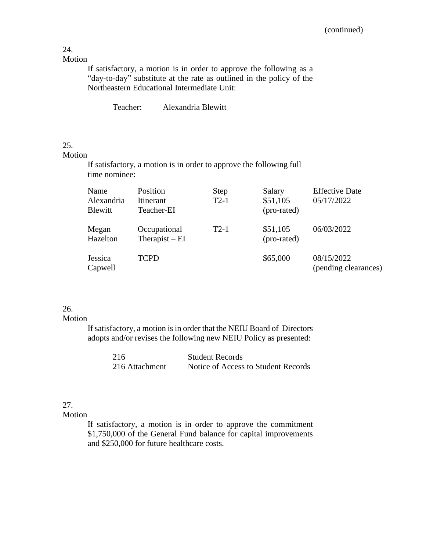# 24.

Motion

If satisfactory, a motion is in order to approve the following as a "day-to-day" substitute at the rate as outlined in the policy of the Northeastern Educational Intermediate Unit:

Teacher: Alexandria Blewitt

#### 25.

Motion

If satisfactory, a motion is in order to approve the following full time nominee:

| <b>Name</b>                  | Position                        | <b>Step</b> | Salary                  | <b>Effective Date</b>              |
|------------------------------|---------------------------------|-------------|-------------------------|------------------------------------|
| Alexandria<br><b>Blewitt</b> | Itinerant<br>Teacher-EI         | $T2-1$      | \$51,105<br>(pro-rated) | 05/17/2022                         |
| Megan<br>Hazelton            | Occupational<br>Therapist $-EI$ | $T2-1$      | \$51,105<br>(pro-rated) | 06/03/2022                         |
| Jessica<br>Capwell           | <b>TCPD</b>                     |             | \$65,000                | 08/15/2022<br>(pending clearances) |

#### 26.

#### Motion

If satisfactory, a motion is in order that the NEIU Board of Directors adopts and/or revises the following new NEIU Policy as presented:

| 216            | <b>Student Records</b>              |
|----------------|-------------------------------------|
| 216 Attachment | Notice of Access to Student Records |

## 27.

Motion

If satisfactory, a motion is in order to approve the commitment \$1,750,000 of the General Fund balance for capital improvements and \$250,000 for future healthcare costs.